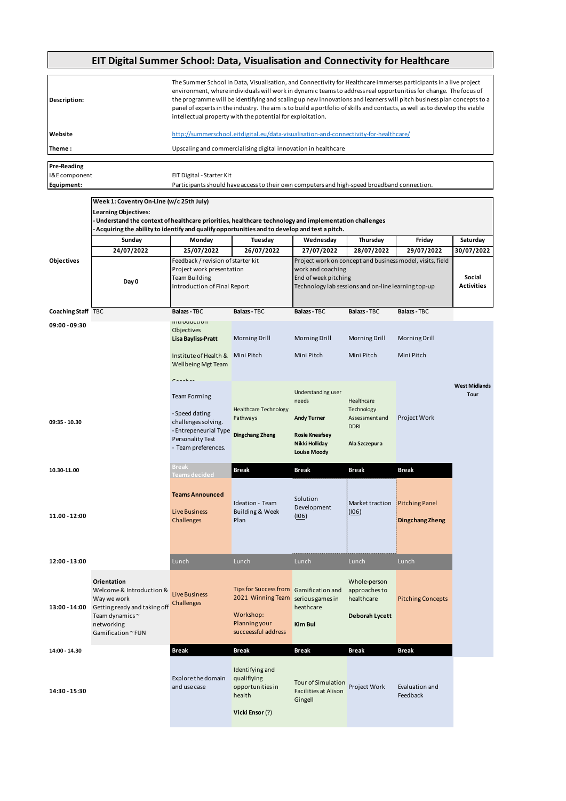## **EIT Digital Summer School: Data, Visualisation and Connectivity for Healthcare**

| Description:       | The Summer School in Data, Visualisation, and Connectivity for Healthcare immerses participants in a live project<br>environment, where individuals will work in dynamic teams to address real opportunities for change. The focus of<br>the programme will be identifying and scaling up new innovations and learners will pitch business plan concepts to a<br>panel of experts in the industry. The aim is to build a portfolio of skills and contacts, as well as to develop the viable<br>intellectual property with the potential for exploitation. |
|--------------------|-----------------------------------------------------------------------------------------------------------------------------------------------------------------------------------------------------------------------------------------------------------------------------------------------------------------------------------------------------------------------------------------------------------------------------------------------------------------------------------------------------------------------------------------------------------|
| Website            | http://summerschool.eitdigital.eu/data-visualisation-and-connectivity-for-healthcare/                                                                                                                                                                                                                                                                                                                                                                                                                                                                     |
| Theme:             | Upscaling and commercialising digital innovation in healthcare                                                                                                                                                                                                                                                                                                                                                                                                                                                                                            |
|                    |                                                                                                                                                                                                                                                                                                                                                                                                                                                                                                                                                           |
| <b>Pre-Reading</b> |                                                                                                                                                                                                                                                                                                                                                                                                                                                                                                                                                           |
| I&E component      | EIT Digital - Starter Kit                                                                                                                                                                                                                                                                                                                                                                                                                                                                                                                                 |
| Equipment:         | Participants should have access to their own computers and high-speed broadband connection.                                                                                                                                                                                                                                                                                                                                                                                                                                                               |

|                    | Week 1: Coventry On-Line (w/c 25th July)<br>Learning Objectives:                                                                                                                                         |                                                                                                                                                |                                                                                                                  |                                                                                                  |                                                                            |                                                           |                              |
|--------------------|----------------------------------------------------------------------------------------------------------------------------------------------------------------------------------------------------------|------------------------------------------------------------------------------------------------------------------------------------------------|------------------------------------------------------------------------------------------------------------------|--------------------------------------------------------------------------------------------------|----------------------------------------------------------------------------|-----------------------------------------------------------|------------------------------|
|                    | Understand the context of healthcare priorities, healthcare technology and implementation challenges -<br>- Acquiring the ability to identify and qualify opportunities and to develop and test a pitch. |                                                                                                                                                |                                                                                                                  |                                                                                                  |                                                                            |                                                           |                              |
|                    | Sunday                                                                                                                                                                                                   | Monday                                                                                                                                         | Tuesday                                                                                                          | Wednesday                                                                                        | Thursday                                                                   | Friday                                                    | Saturday                     |
|                    | 24/07/2022                                                                                                                                                                                               | 25/07/2022                                                                                                                                     | 26/07/2022                                                                                                       | 27/07/2022                                                                                       | 28/07/2022                                                                 | 29/07/2022                                                | 30/07/2022                   |
| Objectives         | Day 0                                                                                                                                                                                                    | Feedback / revision of starter kit<br>Project work presentation<br><b>Team Building</b><br>Introduction of Final Report                        |                                                                                                                  | work and coaching<br>End of week pitching<br>Technology lab sessions and on-line learning top-up |                                                                            | Project work on concept and business model, visits, field | Social<br><b>Activities</b>  |
| Coaching Staff TBC |                                                                                                                                                                                                          | Balazs - TBC                                                                                                                                   | Balazs - TBC                                                                                                     | <b>Balazs - TBC</b>                                                                              | <b>Balazs - TBC</b>                                                        | <b>Balazs - TBC</b>                                       |                              |
| 09:00 - 09:30      |                                                                                                                                                                                                          | <b>INTOURCHON</b>                                                                                                                              |                                                                                                                  |                                                                                                  |                                                                            |                                                           |                              |
|                    |                                                                                                                                                                                                          | Objectives<br>Lisa Bayliss-Pratt                                                                                                               | <b>Morning Drill</b>                                                                                             | <b>Morning Drill</b>                                                                             | <b>Morning Drill</b>                                                       | <b>Morning Drill</b>                                      |                              |
|                    |                                                                                                                                                                                                          | Institute of Health &<br><b>Wellbeing Mgt Team</b>                                                                                             | Mini Pitch                                                                                                       | Mini Pitch                                                                                       | Mini Pitch                                                                 | Mini Pitch                                                |                              |
| 09:35 - 10.30      |                                                                                                                                                                                                          | $C$ anahan<br><b>Team Forming</b><br>- Speed dating<br>challenges solving.<br>- Entrepeneurial Type<br>Personality Test<br>- Team preferences. | <b>Healthcare Technology</b><br>Pathways<br><b>Dingchang Zheng</b>                                               | Understanding user<br>needs<br><b>Andy Turner</b><br><b>Rosie Kneafsey</b><br>Nikki Holliday     | Healthcare<br>Technology<br>Assessment and<br><b>DDRI</b><br>Ala Szczepura | Project Work                                              | <b>West Midlands</b><br>Tour |
| 10.30-11.00        |                                                                                                                                                                                                          | <b>Break</b><br>Teams decided                                                                                                                  | <b>Break</b>                                                                                                     | <b>Louise Moody</b><br>Break                                                                     | Break                                                                      | <b>Break</b>                                              |                              |
| 11.00 - 12:00      |                                                                                                                                                                                                          | <b>Teams Announced</b><br><b>Live Business</b><br>Challenges                                                                                   | Ideation - Team<br>Building & Week<br>Plan                                                                       | Solution<br>Development<br>(106)                                                                 | Market traction<br><u>(IO6)</u>                                            | <b>Pitching Panel</b><br><b>Dingchang Zheng</b>           |                              |
| 12:00 - 13:00      |                                                                                                                                                                                                          | Lunch                                                                                                                                          | Lunch                                                                                                            | Lunch                                                                                            | Lunch                                                                      | Lunch                                                     |                              |
| 13:00 - 14:00      | Orientation<br>Welcome & Introduction &<br>Way we work<br>Getting ready and taking off<br>Team dynamics~<br>networking<br>Gamification ~ FUN                                                             | <b>Live Business</b><br>Challenges                                                                                                             | Tips for Success from Gamification and<br>2021 Winning Team<br>Workshop:<br>Planning your<br>succeessful address | serious games in<br>heathcare<br>Kim Bul                                                         | Whole-person<br>approaches to<br>healthcare<br>Deborah Lycett              | <b>Pitching Concepts</b>                                  |                              |
| 14:00 - 14.30      |                                                                                                                                                                                                          | <b>Break</b>                                                                                                                                   | <b>Break</b>                                                                                                     | <b>Break</b>                                                                                     | <b>Break</b>                                                               | <b>Break</b>                                              |                              |
| 14:30 - 15:30      |                                                                                                                                                                                                          | Explore the domain<br>and use case                                                                                                             | Identifying and<br>qualifiying<br>opportunities in<br>health<br>Vicki Ensor (?)                                  | Tour of Simulation<br><b>Facilities at Alison</b><br>Gingell                                     | Project Work                                                               | Evaluation and<br>Feedback                                |                              |